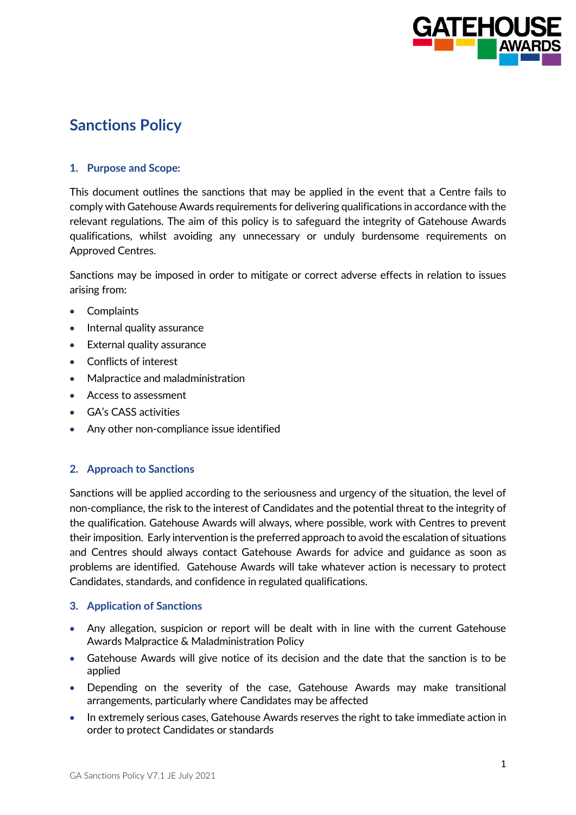

# **Sanctions Policy**

## **1. Purpose and Scope:**

This document outlines the sanctions that may be applied in the event that a Centre fails to comply with Gatehouse Awards requirements for delivering qualifications in accordance with the relevant regulations. The aim of this policy is to safeguard the integrity of Gatehouse Awards qualifications, whilst avoiding any unnecessary or unduly burdensome requirements on Approved Centres.

Sanctions may be imposed in order to mitigate or correct adverse effects in relation to issues arising from:

- Complaints
- Internal quality assurance
- **External quality assurance**
- Conflicts of interest
- Malpractice and maladministration
- Access to assessment
- GA's CASS activities
- Any other non-compliance issue identified

#### **2. Approach to Sanctions**

Sanctions will be applied according to the seriousness and urgency of the situation, the level of non-compliance, the risk to the interest of Candidates and the potential threat to the integrity of the qualification. Gatehouse Awards will always, where possible, work with Centres to prevent their imposition. Early intervention is the preferred approach to avoid the escalation of situations and Centres should always contact Gatehouse Awards for advice and guidance as soon as problems are identified. Gatehouse Awards will take whatever action is necessary to protect Candidates, standards, and confidence in regulated qualifications.

#### **3. Application of Sanctions**

- Any allegation, suspicion or report will be dealt with in line with the current Gatehouse Awards Malpractice & Maladministration Policy
- Gatehouse Awards will give notice of its decision and the date that the sanction is to be applied
- Depending on the severity of the case, Gatehouse Awards may make transitional arrangements, particularly where Candidates may be affected
- In extremely serious cases, Gatehouse Awards reserves the right to take immediate action in order to protect Candidates or standards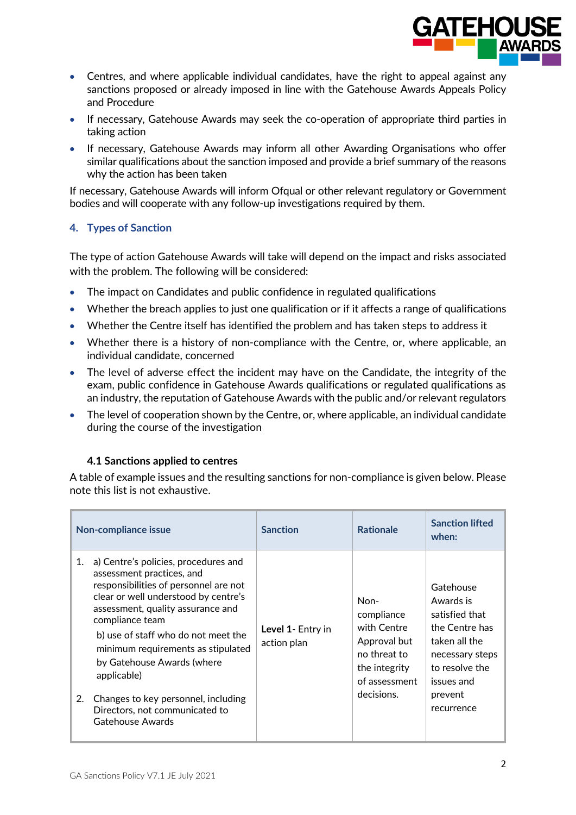

- Centres, and where applicable individual candidates, have the right to appeal against any sanctions proposed or already imposed in line with the Gatehouse Awards Appeals Policy and Procedure
- If necessary, Gatehouse Awards may seek the co-operation of appropriate third parties in taking action
- If necessary, Gatehouse Awards may inform all other Awarding Organisations who offer similar qualifications about the sanction imposed and provide a brief summary of the reasons why the action has been taken

If necessary, Gatehouse Awards will inform Ofqual or other relevant regulatory or Government bodies and will cooperate with any follow-up investigations required by them.

# **4. Types of Sanction**

The type of action Gatehouse Awards will take will depend on the impact and risks associated with the problem. The following will be considered:

- The impact on Candidates and public confidence in regulated qualifications
- Whether the breach applies to just one qualification or if it affects a range of qualifications
- Whether the Centre itself has identified the problem and has taken steps to address it
- Whether there is a history of non-compliance with the Centre, or, where applicable, an individual candidate, concerned
- The level of adverse effect the incident may have on the Candidate, the integrity of the exam, public confidence in Gatehouse Awards qualifications or regulated qualifications as an industry, the reputation of Gatehouse Awards with the public and/or relevant regulators
- The level of cooperation shown by the Centre, or, where applicable, an individual candidate during the course of the investigation

#### **4.1 Sanctions applied to centres**

A table of example issues and the resulting sanctions for non-compliance is given below. Please note this list is not exhaustive.

| <b>Non-compliance issue</b>                                                                                                                                                                                                                                                                                                                                                                                                                   | <b>Sanction</b>                  | <b>Rationale</b>                                                                                                  | <b>Sanction lifted</b><br>when:                                                                                                                         |
|-----------------------------------------------------------------------------------------------------------------------------------------------------------------------------------------------------------------------------------------------------------------------------------------------------------------------------------------------------------------------------------------------------------------------------------------------|----------------------------------|-------------------------------------------------------------------------------------------------------------------|---------------------------------------------------------------------------------------------------------------------------------------------------------|
| a) Centre's policies, procedures and<br>1.<br>assessment practices, and<br>responsibilities of personnel are not<br>clear or well understood by centre's<br>assessment, quality assurance and<br>compliance team<br>b) use of staff who do not meet the<br>minimum requirements as stipulated<br>by Gatehouse Awards (where<br>applicable)<br>Changes to key personnel, including<br>2.<br>Directors, not communicated to<br>Gatehouse Awards | Level 1- Entry in<br>action plan | Non-<br>compliance<br>with Centre<br>Approval but<br>no threat to<br>the integrity<br>of assessment<br>decisions. | Gatehouse<br>Awards is<br>satisfied that<br>the Centre has<br>taken all the<br>necessary steps<br>to resolve the<br>issues and<br>prevent<br>recurrence |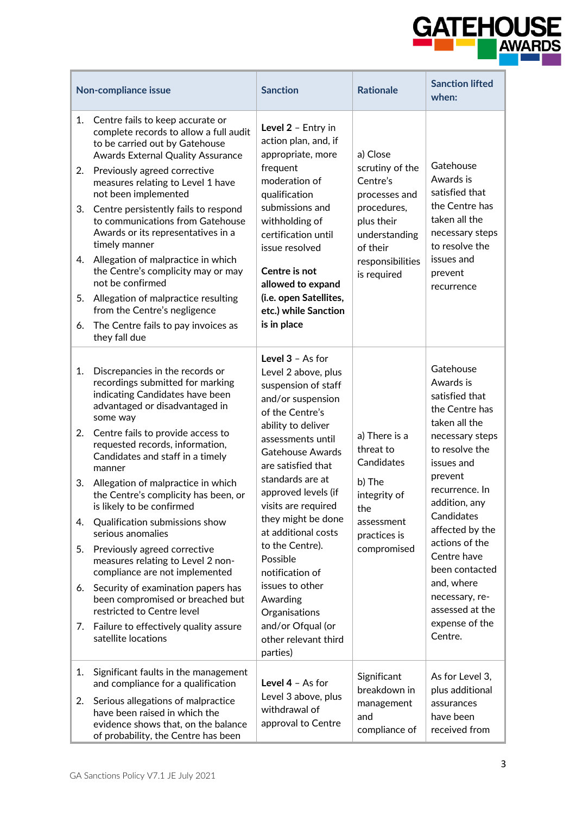

| Non-compliance issue             |                                                                                                                                                                                                                                                                                                                                                                                                                                                                                                                                                                                                                         | <b>Sanction</b>                                                                                                                                                                                                                                                                                    | <b>Rationale</b>                                                                                                                                      | <b>Sanction lifted</b><br>when:                                                                                                                         |
|----------------------------------|-------------------------------------------------------------------------------------------------------------------------------------------------------------------------------------------------------------------------------------------------------------------------------------------------------------------------------------------------------------------------------------------------------------------------------------------------------------------------------------------------------------------------------------------------------------------------------------------------------------------------|----------------------------------------------------------------------------------------------------------------------------------------------------------------------------------------------------------------------------------------------------------------------------------------------------|-------------------------------------------------------------------------------------------------------------------------------------------------------|---------------------------------------------------------------------------------------------------------------------------------------------------------|
| 1.<br>2.<br>3.<br>4.<br>5.<br>6. | Centre fails to keep accurate or<br>complete records to allow a full audit<br>to be carried out by Gatehouse<br><b>Awards External Quality Assurance</b><br>Previously agreed corrective<br>measures relating to Level 1 have<br>not been implemented<br>Centre persistently fails to respond<br>to communications from Gatehouse<br>Awards or its representatives in a<br>timely manner<br>Allegation of malpractice in which<br>the Centre's complicity may or may<br>not be confirmed<br>Allegation of malpractice resulting<br>from the Centre's negligence<br>The Centre fails to pay invoices as<br>they fall due | Level 2 - Entry in<br>action plan, and, if<br>appropriate, more<br>frequent<br>moderation of<br>qualification<br>submissions and<br>withholding of<br>certification until<br>issue resolved<br>Centre is not<br>allowed to expand<br>(i.e. open Satellites,<br>etc.) while Sanction<br>is in place | a) Close<br>scrutiny of the<br>Centre's<br>processes and<br>procedures,<br>plus their<br>understanding<br>of their<br>responsibilities<br>is required | Gatehouse<br>Awards is<br>satisfied that<br>the Centre has<br>taken all the<br>necessary steps<br>to resolve the<br>issues and<br>prevent<br>recurrence |
| 1.<br>2.                         | Discrepancies in the records or<br>recordings submitted for marking<br>indicating Candidates have been<br>advantaged or disadvantaged in<br>some way<br>Centre fails to provide access to<br>requested records, information,<br>Candidates and staff in a timely<br>manner                                                                                                                                                                                                                                                                                                                                              | Level $3 - As$ for<br>Level 2 above, plus<br>suspension of staff<br>and/or suspension<br>of the Centre's<br>ability to deliver<br>assessments until<br><b>Gatehouse Awards</b><br>are satisfied that<br>standards are at                                                                           | a) There is a<br>threat to<br>Candidates                                                                                                              | Gatehouse<br>Awards is<br>satisfied that<br>the Centre has<br>taken all the<br>necessary steps<br>to resolve the<br>issues and<br>prevent               |
| 3.<br>4.                         | Allegation of malpractice in which<br>the Centre's complicity has been, or<br>is likely to be confirmed<br>Qualification submissions show                                                                                                                                                                                                                                                                                                                                                                                                                                                                               | approved levels (if<br>visits are required<br>they might be done                                                                                                                                                                                                                                   | b) The<br>integrity of<br>the<br>assessment                                                                                                           | recurrence. In<br>addition, any<br>Candidates                                                                                                           |
| 5.                               | serious anomalies<br>Previously agreed corrective<br>measures relating to Level 2 non-<br>compliance are not implemented                                                                                                                                                                                                                                                                                                                                                                                                                                                                                                | at additional costs<br>to the Centre).<br>Possible<br>notification of                                                                                                                                                                                                                              | practices is<br>compromised                                                                                                                           | affected by the<br>actions of the<br>Centre have<br>been contacted                                                                                      |
| 6.                               | Security of examination papers has<br>been compromised or breached but<br>restricted to Centre level                                                                                                                                                                                                                                                                                                                                                                                                                                                                                                                    | issues to other<br>Awarding<br>Organisations                                                                                                                                                                                                                                                       |                                                                                                                                                       | and, where<br>necessary, re-<br>assessed at the                                                                                                         |
| 7.                               | Failure to effectively quality assure<br>satellite locations                                                                                                                                                                                                                                                                                                                                                                                                                                                                                                                                                            | and/or Ofqual (or<br>other relevant third<br>parties)                                                                                                                                                                                                                                              |                                                                                                                                                       | expense of the<br>Centre.                                                                                                                               |
| 1.<br>2.                         | Significant faults in the management<br>and compliance for a qualification<br>Serious allegations of malpractice<br>have been raised in which the<br>evidence shows that, on the balance<br>of probability, the Centre has been                                                                                                                                                                                                                                                                                                                                                                                         | Level $4 - As$ for<br>Level 3 above, plus<br>withdrawal of<br>approval to Centre                                                                                                                                                                                                                   | Significant<br>breakdown in<br>management<br>and<br>compliance of                                                                                     | As for Level 3,<br>plus additional<br>assurances<br>have been<br>received from                                                                          |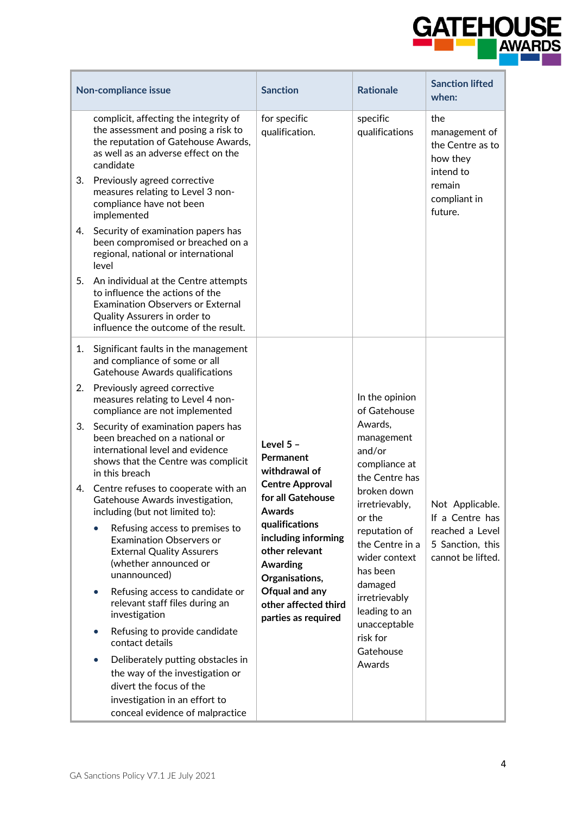

|    | Non-compliance issue                                                                                                                                                                        | <b>Sanction</b>                                                                              | <b>Rationale</b>                                                         | <b>Sanction lifted</b><br>when:                                   |
|----|---------------------------------------------------------------------------------------------------------------------------------------------------------------------------------------------|----------------------------------------------------------------------------------------------|--------------------------------------------------------------------------|-------------------------------------------------------------------|
|    | complicit, affecting the integrity of<br>the assessment and posing a risk to<br>the reputation of Gatehouse Awards,<br>as well as an adverse effect on the<br>candidate                     | for specific<br>qualification.                                                               | specific<br>qualifications                                               | the<br>management of<br>the Centre as to<br>how they<br>intend to |
| 3. | Previously agreed corrective<br>measures relating to Level 3 non-<br>compliance have not been<br>implemented                                                                                |                                                                                              |                                                                          | remain<br>compliant in<br>future.                                 |
| 4. | Security of examination papers has<br>been compromised or breached on a<br>regional, national or international<br>level                                                                     |                                                                                              |                                                                          |                                                                   |
| 5. | An individual at the Centre attempts<br>to influence the actions of the<br><b>Examination Observers or External</b><br>Quality Assurers in order to<br>influence the outcome of the result. |                                                                                              |                                                                          |                                                                   |
| 1. | Significant faults in the management<br>and compliance of some or all<br>Gatehouse Awards qualifications                                                                                    |                                                                                              |                                                                          |                                                                   |
| 2. | Previously agreed corrective<br>measures relating to Level 4 non-<br>compliance are not implemented                                                                                         |                                                                                              | In the opinion<br>of Gatehouse                                           |                                                                   |
| 3. | Security of examination papers has<br>been breached on a national or<br>international level and evidence<br>shows that the Centre was complicit<br>in this breach                           | Level 5 -<br>Permanent<br>withdrawal of                                                      | Awards,<br>management<br>and/or<br>compliance at<br>the Centre has       |                                                                   |
|    | 4. Centre refuses to cooperate with an<br>Gatehouse Awards investigation,<br>including (but not limited to):                                                                                | <b>Centre Approval</b><br>for all Gatehouse<br><b>Awards</b>                                 | broken down<br>irretrievably,<br>or the                                  | Not Applicable.<br>If a Centre has                                |
|    | Refusing access to premises to<br><b>Examination Observers or</b><br><b>External Quality Assurers</b><br>(whether announced or<br>unannounced)                                              | qualifications<br>including informing<br>other relevant<br><b>Awarding</b><br>Organisations, | reputation of<br>the Centre in a<br>wider context<br>has been<br>damaged | reached a Level<br>5 Sanction, this<br>cannot be lifted.          |
|    | Refusing access to candidate or<br>$\bullet$<br>relevant staff files during an<br>investigation                                                                                             | Ofqual and any<br>other affected third<br>parties as required                                | irretrievably<br>leading to an                                           |                                                                   |
|    | Refusing to provide candidate<br>$\bullet$<br>contact details                                                                                                                               |                                                                                              | unacceptable<br>risk for<br>Gatehouse                                    |                                                                   |
|    | Deliberately putting obstacles in<br>$\bullet$<br>the way of the investigation or<br>divert the focus of the<br>investigation in an effort to<br>conceal evidence of malpractice            |                                                                                              | Awards                                                                   |                                                                   |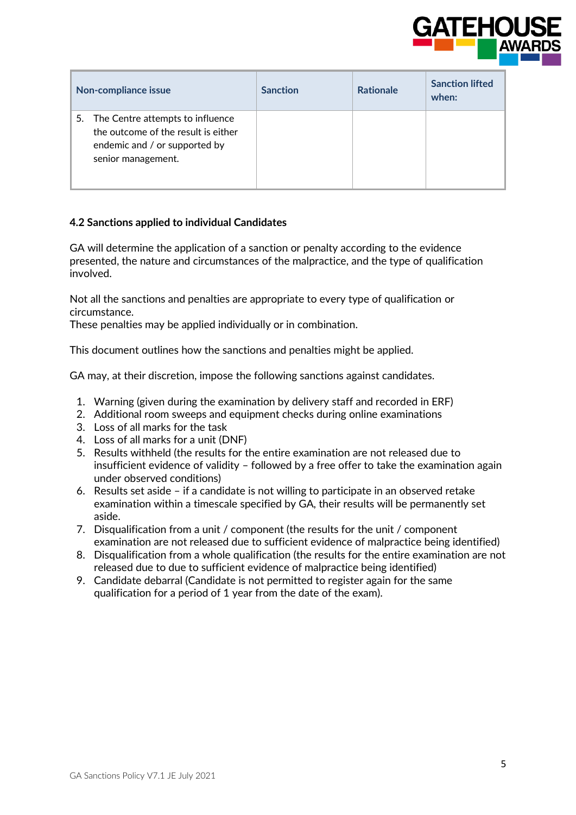

| Non-compliance issue                                                                                                              | <b>Sanction</b> | <b>Rationale</b> | <b>Sanction lifted</b><br>when: |
|-----------------------------------------------------------------------------------------------------------------------------------|-----------------|------------------|---------------------------------|
| 5. The Centre attempts to influence<br>the outcome of the result is either<br>endemic and / or supported by<br>senior management. |                 |                  |                                 |

## **4.2 Sanctions applied to individual Candidates**

GA will determine the application of a sanction or penalty according to the evidence presented, the nature and circumstances of the malpractice, and the type of qualification involved.

Not all the sanctions and penalties are appropriate to every type of qualification or circumstance.

These penalties may be applied individually or in combination.

This document outlines how the sanctions and penalties might be applied.

GA may, at their discretion, impose the following sanctions against candidates.

- 1. Warning (given during the examination by delivery staff and recorded in ERF)
- 2. Additional room sweeps and equipment checks during online examinations
- 3. Loss of all marks for the task
- 4. Loss of all marks for a unit (DNF)
- 5. Results withheld (the results for the entire examination are not released due to insufficient evidence of validity – followed by a free offer to take the examination again under observed conditions)
- 6. Results set aside if a candidate is not willing to participate in an observed retake examination within a timescale specified by GA, their results will be permanently set aside.
- 7. Disqualification from a unit / component (the results for the unit / component examination are not released due to sufficient evidence of malpractice being identified)
- 8. Disqualification from a whole qualification (the results for the entire examination are not released due to due to sufficient evidence of malpractice being identified)
- 9. Candidate debarral (Candidate is not permitted to register again for the same qualification for a period of 1 year from the date of the exam).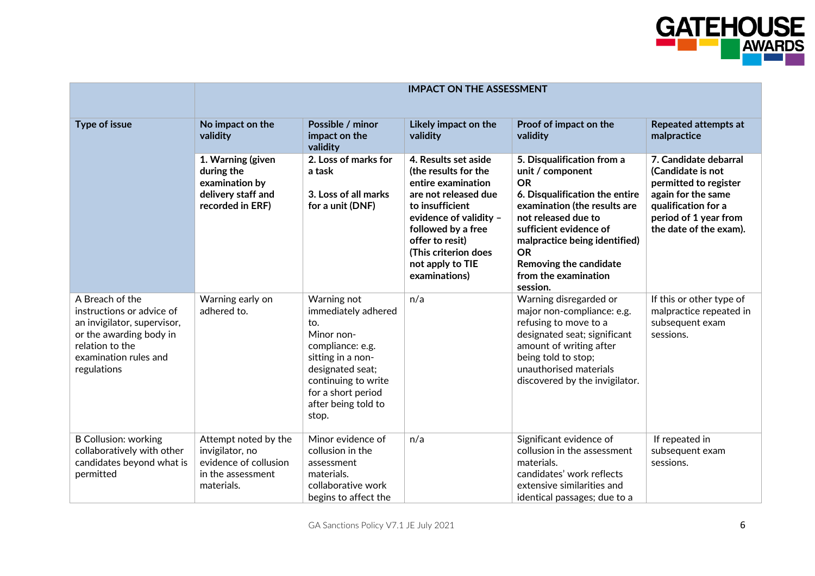

|                                                                                                                                                                   | <b>IMPACT ON THE ASSESSMENT</b>                                                                     |                                                                                                                                                                                                   |                                                                                                                                                                                                                                               |                                                                                                                                                                                                                                                                                            |                                                                                                                                                                     |
|-------------------------------------------------------------------------------------------------------------------------------------------------------------------|-----------------------------------------------------------------------------------------------------|---------------------------------------------------------------------------------------------------------------------------------------------------------------------------------------------------|-----------------------------------------------------------------------------------------------------------------------------------------------------------------------------------------------------------------------------------------------|--------------------------------------------------------------------------------------------------------------------------------------------------------------------------------------------------------------------------------------------------------------------------------------------|---------------------------------------------------------------------------------------------------------------------------------------------------------------------|
| <b>Type of issue</b>                                                                                                                                              | No impact on the<br>validity                                                                        | Possible / minor<br>impact on the<br>validity                                                                                                                                                     | Likely impact on the<br>validity                                                                                                                                                                                                              | Proof of impact on the<br>validity                                                                                                                                                                                                                                                         | <b>Repeated attempts at</b><br>malpractice                                                                                                                          |
|                                                                                                                                                                   | 1. Warning (given<br>during the<br>examination by<br>delivery staff and<br>recorded in ERF)         | 2. Loss of marks for<br>a task<br>3. Loss of all marks<br>for a unit (DNF)                                                                                                                        | 4. Results set aside<br>(the results for the<br>entire examination<br>are not released due<br>to insufficient<br>evidence of validity -<br>followed by a free<br>offer to resit)<br>(This criterion does<br>not apply to TIE<br>examinations) | 5. Disqualification from a<br>unit / component<br><b>OR</b><br>6. Disqualification the entire<br>examination (the results are<br>not released due to<br>sufficient evidence of<br>malpractice being identified)<br><b>OR</b><br>Removing the candidate<br>from the examination<br>session. | 7. Candidate debarral<br>(Candidate is not<br>permitted to register<br>again for the same<br>qualification for a<br>period of 1 year from<br>the date of the exam). |
| A Breach of the<br>instructions or advice of<br>an invigilator, supervisor,<br>or the awarding body in<br>relation to the<br>examination rules and<br>regulations | Warning early on<br>adhered to.                                                                     | Warning not<br>immediately adhered<br>to.<br>Minor non-<br>compliance: e.g.<br>sitting in a non-<br>designated seat;<br>continuing to write<br>for a short period<br>after being told to<br>stop. | n/a                                                                                                                                                                                                                                           | Warning disregarded or<br>major non-compliance: e.g.<br>refusing to move to a<br>designated seat; significant<br>amount of writing after<br>being told to stop;<br>unauthorised materials<br>discovered by the invigilator.                                                                | If this or other type of<br>malpractice repeated in<br>subsequent exam<br>sessions.                                                                                 |
| <b>B Collusion: working</b><br>collaboratively with other<br>candidates beyond what is<br>permitted                                                               | Attempt noted by the<br>invigilator, no<br>evidence of collusion<br>in the assessment<br>materials. | Minor evidence of<br>collusion in the<br>assessment<br>materials.<br>collaborative work<br>begins to affect the                                                                                   | n/a                                                                                                                                                                                                                                           | Significant evidence of<br>collusion in the assessment<br>materials.<br>candidates' work reflects<br>extensive similarities and<br>identical passages; due to a                                                                                                                            | If repeated in<br>subsequent exam<br>sessions.                                                                                                                      |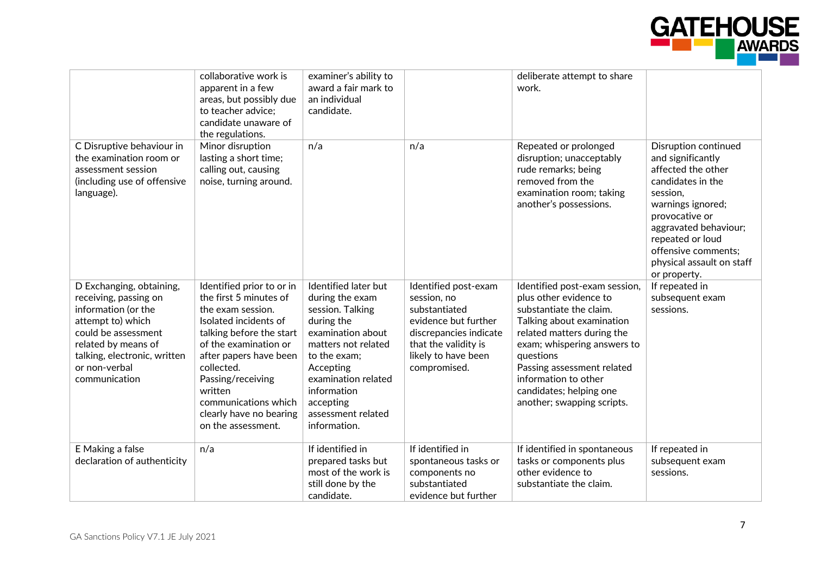

|                                                                                                                                                                                                               | collaborative work is<br>apparent in a few<br>areas, but possibly due<br>to teacher advice;<br>candidate unaware of<br>the regulations.                                                                                                                                                                 | examiner's ability to<br>award a fair mark to<br>an individual<br>candidate.                                                                                                                                                                |                                                                                                                                                                       | deliberate attempt to share<br>work.                                                                                                                                                                                                                                                                     |                                                                                                                                                                                                                                                                 |
|---------------------------------------------------------------------------------------------------------------------------------------------------------------------------------------------------------------|---------------------------------------------------------------------------------------------------------------------------------------------------------------------------------------------------------------------------------------------------------------------------------------------------------|---------------------------------------------------------------------------------------------------------------------------------------------------------------------------------------------------------------------------------------------|-----------------------------------------------------------------------------------------------------------------------------------------------------------------------|----------------------------------------------------------------------------------------------------------------------------------------------------------------------------------------------------------------------------------------------------------------------------------------------------------|-----------------------------------------------------------------------------------------------------------------------------------------------------------------------------------------------------------------------------------------------------------------|
| C Disruptive behaviour in<br>the examination room or<br>assessment session<br>(including use of offensive<br>language).                                                                                       | Minor disruption<br>lasting a short time;<br>calling out, causing<br>noise, turning around.                                                                                                                                                                                                             | n/a                                                                                                                                                                                                                                         | n/a                                                                                                                                                                   | Repeated or prolonged<br>disruption; unacceptably<br>rude remarks; being<br>removed from the<br>examination room; taking<br>another's possessions.                                                                                                                                                       | <b>Disruption continued</b><br>and significantly<br>affected the other<br>candidates in the<br>session.<br>warnings ignored;<br>provocative or<br>aggravated behaviour;<br>repeated or loud<br>offensive comments;<br>physical assault on staff<br>or property. |
| D Exchanging, obtaining,<br>receiving, passing on<br>information (or the<br>attempt to) which<br>could be assessment<br>related by means of<br>talking, electronic, written<br>or non-verbal<br>communication | Identified prior to or in<br>the first 5 minutes of<br>the exam session.<br>Isolated incidents of<br>talking before the start<br>of the examination or<br>after papers have been<br>collected.<br>Passing/receiving<br>written<br>communications which<br>clearly have no bearing<br>on the assessment. | Identified later but<br>during the exam<br>session. Talking<br>during the<br>examination about<br>matters not related<br>to the exam;<br>Accepting<br>examination related<br>information<br>accepting<br>assessment related<br>information. | Identified post-exam<br>session, no<br>substantiated<br>evidence but further<br>discrepancies indicate<br>that the validity is<br>likely to have been<br>compromised. | Identified post-exam session,<br>plus other evidence to<br>substantiate the claim.<br>Talking about examination<br>related matters during the<br>exam; whispering answers to<br>questions<br>Passing assessment related<br>information to other<br>candidates; helping one<br>another; swapping scripts. | If repeated in<br>subsequent exam<br>sessions.                                                                                                                                                                                                                  |
| E Making a false<br>declaration of authenticity                                                                                                                                                               | n/a                                                                                                                                                                                                                                                                                                     | If identified in<br>prepared tasks but<br>most of the work is<br>still done by the<br>candidate.                                                                                                                                            | If identified in<br>spontaneous tasks or<br>components no<br>substantiated<br>evidence but further                                                                    | If identified in spontaneous<br>tasks or components plus<br>other evidence to<br>substantiate the claim.                                                                                                                                                                                                 | If repeated in<br>subsequent exam<br>sessions.                                                                                                                                                                                                                  |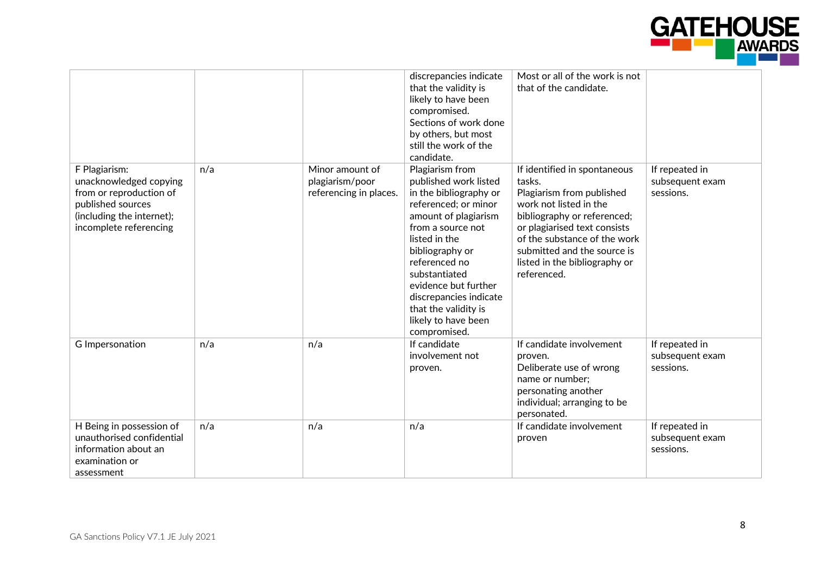

|                                                                                                                                                |     |                                                              | discrepancies indicate<br>that the validity is<br>likely to have been<br>compromised.<br>Sections of work done<br>by others, but most<br>still the work of the<br>candidate.                                                                                                                                                   | Most or all of the work is not<br>that of the candidate.                                                                                                                                                                                                                    |                                                |
|------------------------------------------------------------------------------------------------------------------------------------------------|-----|--------------------------------------------------------------|--------------------------------------------------------------------------------------------------------------------------------------------------------------------------------------------------------------------------------------------------------------------------------------------------------------------------------|-----------------------------------------------------------------------------------------------------------------------------------------------------------------------------------------------------------------------------------------------------------------------------|------------------------------------------------|
| F Plagiarism:<br>unacknowledged copying<br>from or reproduction of<br>published sources<br>(including the internet);<br>incomplete referencing | n/a | Minor amount of<br>plagiarism/poor<br>referencing in places. | Plagiarism from<br>published work listed<br>in the bibliography or<br>referenced; or minor<br>amount of plagiarism<br>from a source not<br>listed in the<br>bibliography or<br>referenced no<br>substantiated<br>evidence but further<br>discrepancies indicate<br>that the validity is<br>likely to have been<br>compromised. | If identified in spontaneous<br>tasks.<br>Plagiarism from published<br>work not listed in the<br>bibliography or referenced;<br>or plagiarised text consists<br>of the substance of the work<br>submitted and the source is<br>listed in the bibliography or<br>referenced. | If repeated in<br>subsequent exam<br>sessions. |
| G Impersonation                                                                                                                                | n/a | n/a                                                          | If candidate<br>involvement not<br>proven.                                                                                                                                                                                                                                                                                     | If candidate involvement<br>proven.<br>Deliberate use of wrong<br>name or number;<br>personating another<br>individual; arranging to be<br>personated.                                                                                                                      | If repeated in<br>subsequent exam<br>sessions. |
| H Being in possession of<br>unauthorised confidential<br>information about an<br>examination or<br>assessment                                  | n/a | n/a                                                          | n/a                                                                                                                                                                                                                                                                                                                            | If candidate involvement<br>proven                                                                                                                                                                                                                                          | If repeated in<br>subsequent exam<br>sessions. |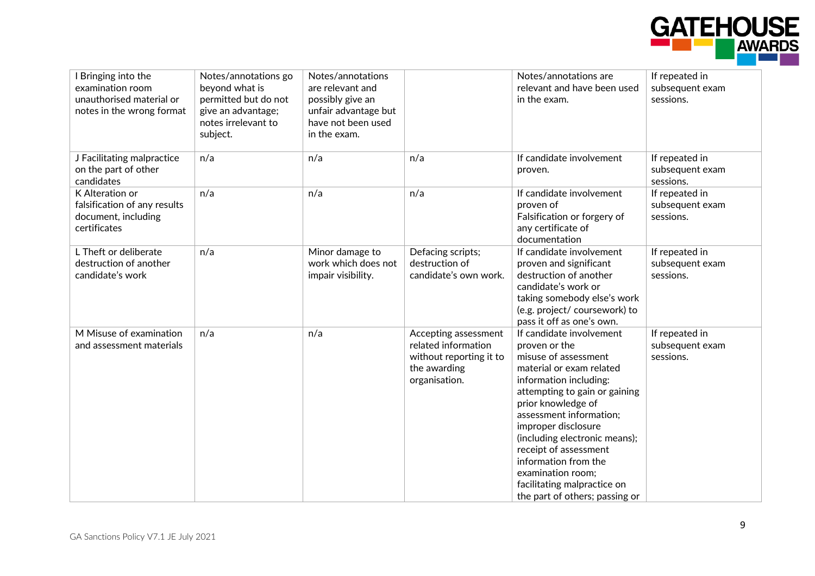

| I Bringing into the<br>examination room<br>unauthorised material or<br>notes in the wrong format | Notes/annotations go<br>beyond what is<br>permitted but do not<br>give an advantage;<br>notes irrelevant to<br>subject. | Notes/annotations<br>are relevant and<br>possibly give an<br>unfair advantage but<br>have not been used<br>in the exam. |                                                                                                         | Notes/annotations are<br>relevant and have been used<br>in the exam.                                                                                                                                                                                                                                                                                                                                     | If repeated in<br>subsequent exam<br>sessions. |
|--------------------------------------------------------------------------------------------------|-------------------------------------------------------------------------------------------------------------------------|-------------------------------------------------------------------------------------------------------------------------|---------------------------------------------------------------------------------------------------------|----------------------------------------------------------------------------------------------------------------------------------------------------------------------------------------------------------------------------------------------------------------------------------------------------------------------------------------------------------------------------------------------------------|------------------------------------------------|
| J Facilitating malpractice<br>on the part of other<br>candidates                                 | n/a                                                                                                                     | n/a                                                                                                                     | n/a                                                                                                     | If candidate involvement<br>proven.                                                                                                                                                                                                                                                                                                                                                                      | If repeated in<br>subsequent exam<br>sessions. |
| K Alteration or<br>falsification of any results<br>document, including<br>certificates           | n/a                                                                                                                     | n/a                                                                                                                     | n/a                                                                                                     | If candidate involvement<br>proven of<br>Falsification or forgery of<br>any certificate of<br>documentation                                                                                                                                                                                                                                                                                              | If repeated in<br>subsequent exam<br>sessions. |
| L Theft or deliberate<br>destruction of another<br>candidate's work                              | n/a                                                                                                                     | Minor damage to<br>work which does not<br>impair visibility.                                                            | Defacing scripts;<br>destruction of<br>candidate's own work.                                            | If candidate involvement<br>proven and significant<br>destruction of another<br>candidate's work or<br>taking somebody else's work<br>(e.g. project/ coursework) to<br>pass it off as one's own.                                                                                                                                                                                                         | If repeated in<br>subsequent exam<br>sessions. |
| M Misuse of examination<br>and assessment materials                                              | n/a                                                                                                                     | n/a                                                                                                                     | Accepting assessment<br>related information<br>without reporting it to<br>the awarding<br>organisation. | If candidate involvement<br>proven or the<br>misuse of assessment<br>material or exam related<br>information including:<br>attempting to gain or gaining<br>prior knowledge of<br>assessment information;<br>improper disclosure<br>(including electronic means);<br>receipt of assessment<br>information from the<br>examination room;<br>facilitating malpractice on<br>the part of others; passing or | If repeated in<br>subsequent exam<br>sessions. |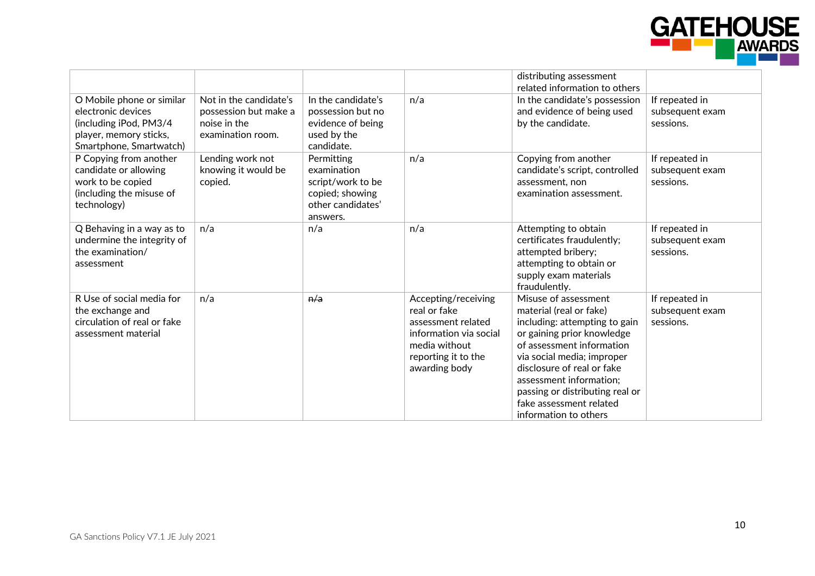

|                                                                                                                                |                                                                                      |                                                                                                    |                                                                                                                                              | distributing assessment<br>related information to others                                                                                                                                                                                                                                                                  |                                                |
|--------------------------------------------------------------------------------------------------------------------------------|--------------------------------------------------------------------------------------|----------------------------------------------------------------------------------------------------|----------------------------------------------------------------------------------------------------------------------------------------------|---------------------------------------------------------------------------------------------------------------------------------------------------------------------------------------------------------------------------------------------------------------------------------------------------------------------------|------------------------------------------------|
| O Mobile phone or similar<br>electronic devices<br>(including iPod, PM3/4<br>player, memory sticks,<br>Smartphone, Smartwatch) | Not in the candidate's<br>possession but make a<br>noise in the<br>examination room. | In the candidate's<br>possession but no<br>evidence of being<br>used by the<br>candidate.          | n/a                                                                                                                                          | In the candidate's possession<br>and evidence of being used<br>by the candidate.                                                                                                                                                                                                                                          | If repeated in<br>subsequent exam<br>sessions. |
| P Copying from another<br>candidate or allowing<br>work to be copied<br>(including the misuse of<br>technology)                | Lending work not<br>knowing it would be<br>copied.                                   | Permitting<br>examination<br>script/work to be<br>copied; showing<br>other candidates'<br>answers. | n/a                                                                                                                                          | Copying from another<br>candidate's script, controlled<br>assessment, non<br>examination assessment.                                                                                                                                                                                                                      | If repeated in<br>subsequent exam<br>sessions. |
| Q Behaving in a way as to<br>undermine the integrity of<br>the examination/<br>assessment                                      | n/a                                                                                  | n/a                                                                                                | n/a                                                                                                                                          | Attempting to obtain<br>certificates fraudulently;<br>attempted bribery;<br>attempting to obtain or<br>supply exam materials<br>fraudulently.                                                                                                                                                                             | If repeated in<br>subsequent exam<br>sessions. |
| R Use of social media for<br>the exchange and<br>circulation of real or fake<br>assessment material                            | n/a                                                                                  | n/a                                                                                                | Accepting/receiving<br>real or fake<br>assessment related<br>information via social<br>media without<br>reporting it to the<br>awarding body | Misuse of assessment<br>material (real or fake)<br>including: attempting to gain<br>or gaining prior knowledge<br>of assessment information<br>via social media; improper<br>disclosure of real or fake<br>assessment information;<br>passing or distributing real or<br>fake assessment related<br>information to others | If repeated in<br>subsequent exam<br>sessions. |